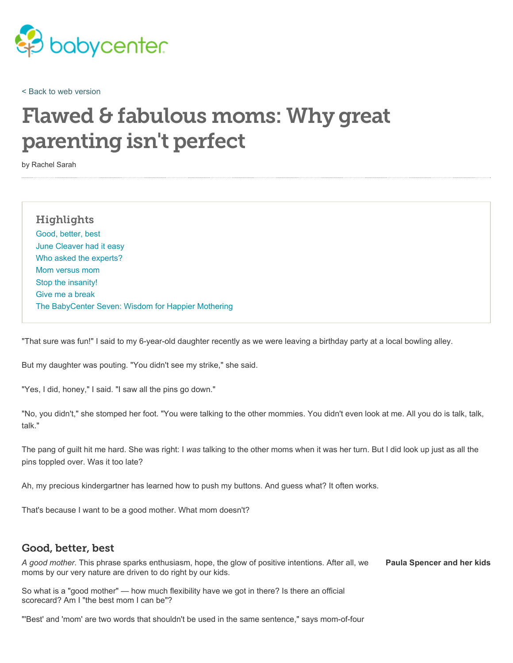

< Back to web version

# Flawed & fabulous moms: Why great parenting isn't perfect

by Rachel Sarah

#### **Highlights**

Good, better, best June Cleaver had it easy Who asked the experts? Mom versus mom Stop the insanity! Give me a break The BabyCenter Seven: Wisdom for Happier Mothering

"That sure was fun!" I said to my 6-year-old daughter recently as we were leaving a birthday party at a local bowling alley.

But my daughter was pouting. "You didn't see my strike," she said.

"Yes, I did, honey," I said. "I saw all the pins go down."

"No, you didn't," she stomped her foot. "You were talking to the other mommies. You didn't even look at me. All you do is talk, talk, talk."

The pang of guilt hit me hard. She was right: I *was* talking to the other moms when it was her turn. But I did look up just as all the pins toppled over. Was it too late?

Ah, my precious kindergartner has learned how to push my buttons. And guess what? It often works.

That's because I want to be a good mother. What mom doesn't?

#### Good, better, best

**Paula Spencer and her kids** *A good mother.* This phrase sparks enthusiasm, hope, the glow of positive intentions. After all, we moms by our very nature are driven to do right by our kids.

So what is a "good mother" — how much flexibility have we got in there? Is there an official scorecard? Am I "the best mom I can be"?

"'Best' and 'mom' are two words that shouldn't be used in the same sentence," says mom-of-four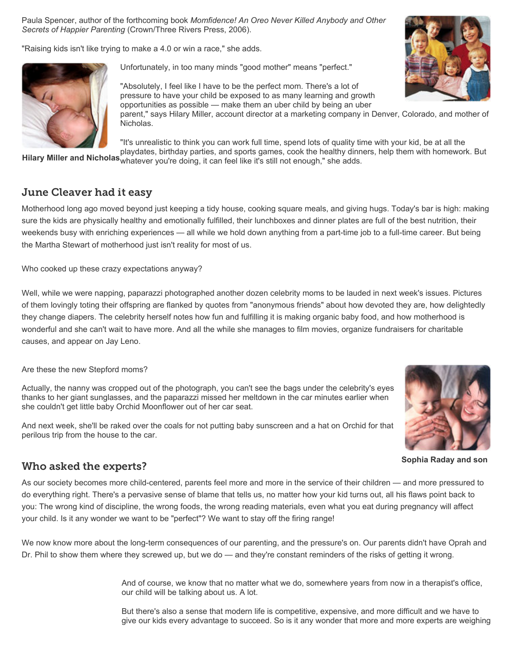Paula Spencer, author of the forthcoming book *Momfidence! An Oreo Never Killed Anybody and Other Secrets of Happier Parenting* (Crown/Three Rivers Press, 2006).

"Raising kids isn't like trying to make a 4.0 or win a race," she adds.



Unfortunately, in too many minds "good mother" means "perfect."

"Absolutely, I feel like I have to be the perfect mom. There's a lot of pressure to have your child be exposed to as many learning and growth opportunities as possible — make them an uber child by being an uber parent," says Hilary Miller, account director at a marketing company in Denver, Colorado, and mother of Nicholas.

"It's unrealistic to think you can work full time, spend lots of quality time with your kid, be at all the

**Hilary Miller and Nicholas** whatever you're doing, it can feel like it's still not enough," she adds. playdates, birthday parties, and sports games, cook the healthy dinners, help them with homework. But

## June Cleaver had it easy

Motherhood long ago moved beyond just keeping a tidy house, cooking square meals, and giving hugs. Today's bar is high: making sure the kids are physically healthy and emotionally fulfilled, their lunchboxes and dinner plates are full of the best nutrition, their weekends busy with enriching experiences — all while we hold down anything from a part-time job to a full-time career. But being the Martha Stewart of motherhood just isn't reality for most of us.

Who cooked up these crazy expectations anyway?

Well, while we were napping, paparazzi photographed another dozen celebrity moms to be lauded in next week's issues. Pictures of them lovingly toting their offspring are flanked by quotes from "anonymous friends" about how devoted they are, how delightedly they change diapers. The celebrity herself notes how fun and fulfilling it is making organic baby food, and how motherhood is wonderful and she can't wait to have more. And all the while she manages to film movies, organize fundraisers for charitable causes, and appear on Jay Leno.

Are these the new Stepford moms?

Actually, the nanny was cropped out of the photograph, you can't see the bags under the celebrity's eyes thanks to her giant sunglasses, and the paparazzi missed her meltdown in the car minutes earlier when she couldn't get little baby Orchid Moonflower out of her car seat.

And next week, she'll be raked over the coals for not putting baby sunscreen and a hat on Orchid for that perilous trip from the house to the car.



**Sophia Raday and son**

#### Who asked the experts?

As our society becomes more child-centered, parents feel more and more in the service of their children — and more pressured to do everything right. There's a pervasive sense of blame that tells us, no matter how your kid turns out, all his flaws point back to you: The wrong kind of discipline, the wrong foods, the wrong reading materials, even what you eat during pregnancy will affect your child. Is it any wonder we want to be "perfect"? We want to stay off the firing range!

We now know more about the long-term consequences of our parenting, and the pressure's on. Our parents didn't have Oprah and Dr. Phil to show them where they screwed up, but we do — and they're constant reminders of the risks of getting it wrong.

> And of course, we know that no matter what we do, somewhere years from now in a therapist's office, our child will be talking about us. A lot.

But there's also a sense that modern life is competitive, expensive, and more difficult and we have to give our kids every advantage to succeed. So is it any wonder that more and more experts are weighing

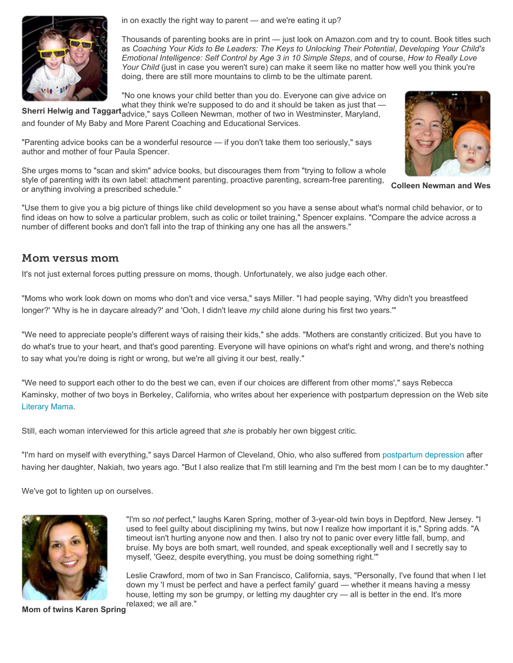

in on exactly the right way to parent — and we're eating it up?

Thousands of parenting books are in print — just look on Amazon.com and try to count. Book titles such as *Coaching Your Kids to Be Leaders: The Keys to Unlocking Their Potential*, *Developing Your Child's Emotional Intelligence: Self Control by Age 3 in 10 Simple Steps*, and of course, *How to Really Love Your Child* (just in case you weren't sure) can make it seem like no matter how well you think you're doing, there are still more mountains to climb to be the ultimate parent.

"No one knows your child better than you do. Everyone can give advice on

**Sherri Helwig and Taggart** advice," says Colleen Newman, mother of two in Westminster, Maryland, what they think we're supposed to do and it should be taken as just that and founder of My Baby and More Parent Coaching and Educational Services.

"Parenting advice books can be a wonderful resource — if you don't take them too seriously," says author and mother of four Paula Spencer.

She urges moms to "scan and skim" advice books, but discourages them from "trying to follow a whole style of parenting with its own label: attachment parenting, proactive parenting, scream-free parenting, or anything involving a prescribed schedule."

"Use them to give you a big picture of things like child development so you have a sense about what's normal child behavior, or to find ideas on how to solve a particular problem, such as colic or toilet training," Spencer explains. "Compare the advice across a number of different books and don't fall into the trap of thinking any one has all the answers."

### Mom versus mom

It's not just external forces putting pressure on moms, though. Unfortunately, we also judge each other.

"Moms who work look down on moms who don't and vice versa," says Miller. "I had people saying, 'Why didn't you breastfeed longer?' 'Why is he in daycare already?' and 'Ooh, I didn't leave *my* child alone during his first two years.'"

"We need to appreciate people's different ways of raising their kids," she adds. "Mothers are constantly criticized. But you have to do what's true to your heart, and that's good parenting. Everyone will have opinions on what's right and wrong, and there's nothing to say what you're doing is right or wrong, but we're all giving it our best, really."

"We need to support each other to do the best we can, even if our choices are different from other moms'," says Rebecca Kaminsky, mother of two boys in Berkeley, California, who writes about her experience with postpartum depression on the Web site Literary Mama.

Still, each woman interviewed for this article agreed that *she* is probably her own biggest critic.

"I'm hard on myself with everything," says Darcel Harmon of Cleveland, Ohio, who also suffered from postpartum depression after having her daughter, Nakiah, two years ago. "But I also realize that I'm still learning and I'm the best mom I can be to my daughter."

We've got to lighten up on ourselves.



"I'm so *not* perfect," laughs Karen Spring, mother of 3-year-old twin boys in Deptford, New Jersey. "I used to feel guilty about disciplining my twins, but now I realize how important it is," Spring adds. "A timeout isn't hurting anyone now and then. I also try not to panic over every little fall, bump, and bruise. My boys are both smart, well rounded, and speak exceptionally well and I secretly say to myself, 'Geez, despite everything, you must be doing something right.'"

Leslie Crawford, mom of two in San Francisco, California, says, "Personally, I've found that when I let down my 'I must be perfect and have a perfect family' guard — whether it means having a messy house, letting my son be grumpy, or letting my daughter cry — all is better in the end. It's more relaxed; we all are."



**Colleen Newman and Wes**

**Mom of twins Karen Spring**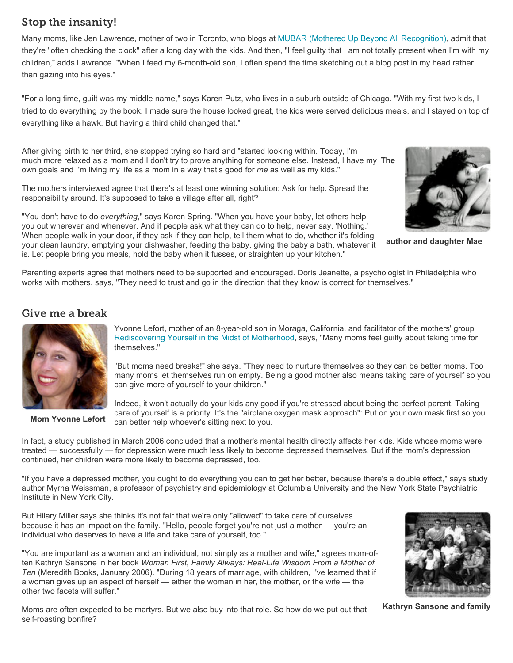# Stop the insanity!

Many moms, like Jen Lawrence, mother of two in Toronto, who blogs at MUBAR (Mothered Up Beyond All Recognition), admit that they're "often checking the clock" after a long day with the kids. And then, "I feel guilty that I am not totally present when I'm with my children," adds Lawrence. "When I feed my 6-month-old son, I often spend the time sketching out a blog post in my head rather than gazing into his eyes."

"For a long time, guilt was my middle name," says Karen Putz, who lives in a suburb outside of Chicago. "With my first two kids, I tried to do everything by the book. I made sure the house looked great, the kids were served delicious meals, and I stayed on top of everything like a hawk. But having a third child changed that."

much more relaxed as a mom and I don't try to prove anything for someone else. Instead, I have my The After giving birth to her third, she stopped trying so hard and "started looking within. Today, I'm own goals and I'm living my life as a mom in a way that's good for *me* as well as my kids."

The mothers interviewed agree that there's at least one winning solution: Ask for help. Spread the responsibility around. It's supposed to take a village after all, right?

"You don't have to do *everything*," says Karen Spring. "When you have your baby, let others help you out wherever and whenever. And if people ask what they can do to help, never say, 'Nothing.' When people walk in your door, if they ask if they can help, tell them what to do, whether it's folding your clean laundry, emptying your dishwasher, feeding the baby, giving the baby a bath, whatever it is. Let people bring you meals, hold the baby when it fusses, or straighten up your kitchen."



**author and daughter Mae**

Parenting experts agree that mothers need to be supported and encouraged. Doris Jeanette, a psychologist in Philadelphia who works with mothers, says, "They need to trust and go in the direction that they know is correct for themselves."

## Give me a break



**Mom Yvonne Lefort**

Yvonne Lefort, mother of an 8-year-old son in Moraga, California, and facilitator of the mothers' group Rediscovering Yourself in the Midst of Motherhood, says, "Many moms feel guilty about taking time for themselves."

"But moms need breaks!" she says. "They need to nurture themselves so they can be better moms. Too many moms let themselves run on empty. Being a good mother also means taking care of yourself so you can give more of yourself to your children."

Indeed, it won't actually do your kids any good if you're stressed about being the perfect parent. Taking care of yourself is a priority. It's the "airplane oxygen mask approach": Put on your own mask first so you can better help whoever's sitting next to you.

In fact, a study published in March 2006 concluded that a mother's mental health directly affects her kids. Kids whose moms were treated — successfully — for depression were much less likely to become depressed themselves. But if the mom's depression continued, her children were more likely to become depressed, too.

"If you have a depressed mother, you ought to do everything you can to get her better, because there's a double effect," says study author Myrna Weissman, a professor of psychiatry and epidemiology at Columbia University and the New York State Psychiatric Institute in New York City.

But Hilary Miller says she thinks it's not fair that we're only "allowed" to take care of ourselves because it has an impact on the family. "Hello, people forget you're not just a mother — you're an individual who deserves to have a life and take care of yourself, too."

"You are important as a woman and an individual, not simply as a mother and wife," agrees mom-often Kathryn Sansone in her book *Woman First, Family Always: Real-Life Wisdom From a Mother of Ten* (Meredith Books, January 2006). "During 18 years of marriage, with children, I've learned that if a woman gives up an aspect of herself — either the woman in her, the mother, or the wife — the other two facets will suffer."



**Kathryn Sansone and family**

Moms are often expected to be martyrs. But we also buy into that role. So how do we put out that self-roasting bonfire?